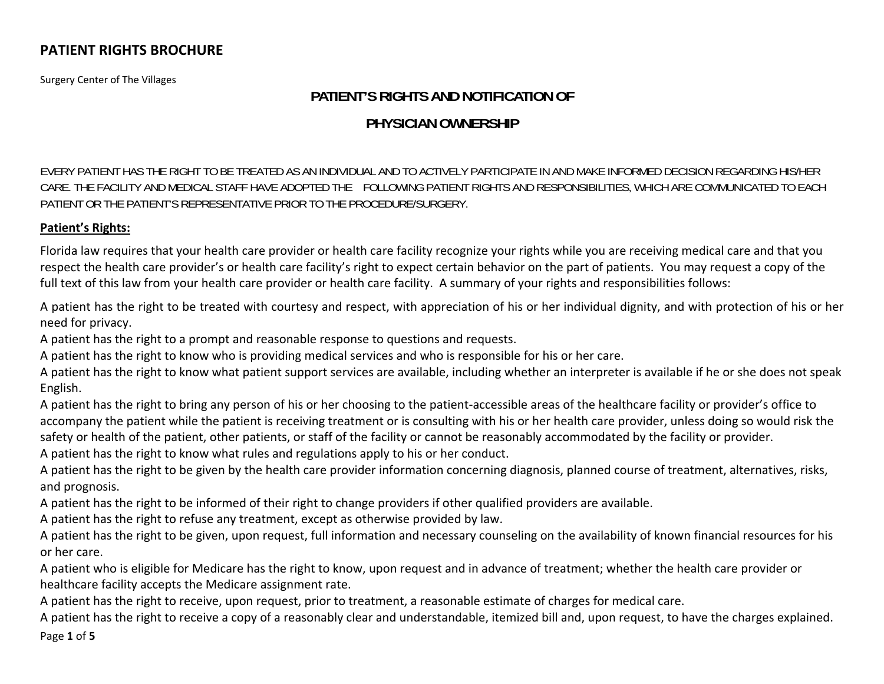Surgery Center of The Villages

# **PATIENT'S RIGHTS AND NOTIFICATION OF**

## **PHYSICIAN OWNERSHIP**

EVERY PATIENT HAS THE RIGHT TO BE TREATED AS AN INDIVIDUAL AND TO ACTIVELY PARTICIPATE IN AND MAKE INFORMED DECISION REGARDING HIS/HER CARE. THE FACILITY AND MEDICAL STAFF HAVE ADOPTED THE FOLLOWING PATIENT RIGHTS AND RESPONSIBILITIES, WHICH ARE COMMUNICATED TO EACH PATIENT OR THE PATIENT'S REPRESENTATIVE PRIOR TO THE PROCEDURE/SURGERY.

#### **Patient's Rights:**

Florida law requires that your health care provider or health care facility recognize your rights while you are receiving medical care and that you respect the health care provider's or health care facility's right to expect certain behavior on the part of patients. You may request <sup>a</sup> copy of the full text of this law from your health care provider or health care facility. A summary of your rights and responsibilities follows:

A patient has the right to be treated with courtesy and respect, with appreciation of his or her individual dignity, and with protection of his or her need for privacy.

A patient has the right to <sup>a</sup> prompt and reasonable response to questions and requests.

A patient has the right to know who is providing medical services and who is responsible for his or her care.

A patient has the right to know what patient support services are available, including whether an interpreter is available if he or she does not speak English.

A patient has the right to bring any person of his or her choosing to the patient‐accessible areas of the healthcare facility or provider's office to accompany the patient while the patient is receiving treatment or is consulting with his or her health care provider, unless doing so would risk the safety or health of the patient, other patients, or staff of the facility or cannot be reasonably accommodated by the facility or provider.

A patient has the right to know what rules and regulations apply to his or her conduct.

A patient has the right to be given by the health care provider information concerning diagnosis, planned course of treatment, alternatives, risks, and prognosis.

A patient has the right to be informed of their right to change providers if other qualified providers are available.

A patient has the right to refuse any treatment, except as otherwise provided by law.

A patient has the right to be given, upon request, full information and necessary counseling on the availability of known financial resources for his or her care.

A patient who is eligible for Medicare has the right to know, upon request and in advance of treatment; whether the health care provider or healthcare facility accepts the Medicare assignment rate.

A patient has the right to receive, upon request, prior to treatment, <sup>a</sup> reasonable estimate of charges for medical care.

Page **1** of **5** A patient has the right to receive <sup>a</sup> copy of <sup>a</sup> reasonably clear and understandable, itemized bill and, upon request, to have the charges explained.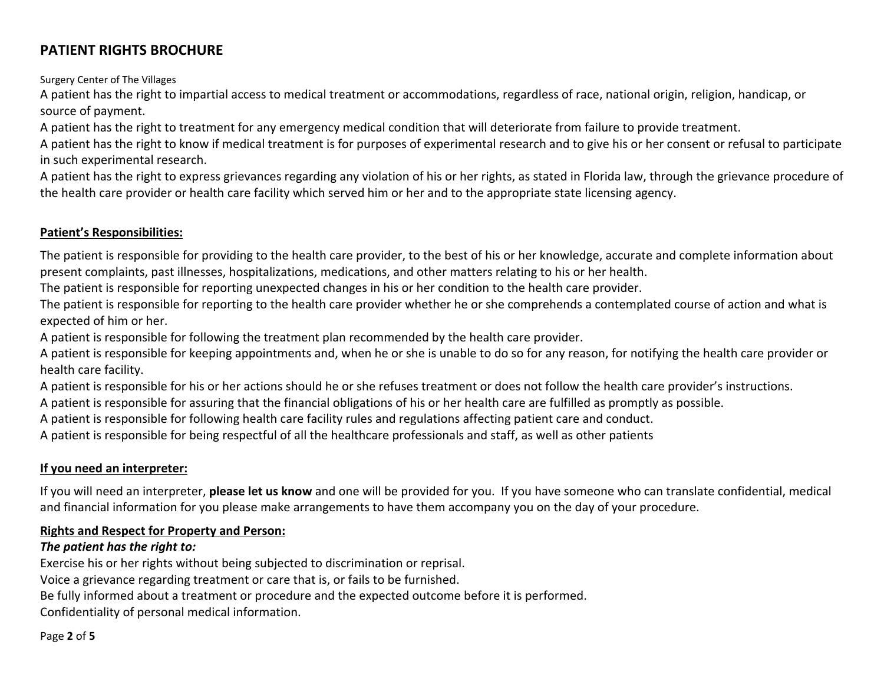Surgery Center of The Villages

A patient has the right to impartial access to medical treatment or accommodations, regardless of race, national origin, religion, handicap, or source of payment.

A patient has the right to treatment for any emergency medical condition that will deteriorate from failure to provide treatment.

A patient has the right to know if medical treatment is for purposes of experimental research and to give his or her consent or refusal to participate in such experimental research.

A patient has the right to express grievances regarding any violation of his or her rights, as stated in Florida law, through the grievance procedure of the health care provider or health care facility which served him or her and to the appropriate state licensing agency.

### **Patient's Responsibilities:**

The patient is responsible for providing to the health care provider, to the best of his or her knowledge, accurate and complete information about present complaints, past illnesses, hospitalizations, medications, and other matters relating to his or her health.

The patient is responsible for reporting unexpected changes in his or her condition to the health care provider.

The patient is responsible for reporting to the health care provider whether he or she comprehends <sup>a</sup> contemplated course of action and what is expected of him or her.

A patient is responsible for following the treatment plan recommended by the health care provider.

A patient is responsible for keeping appointments and, when he or she is unable to do so for any reason, for notifying the health care provider or health care facility.

A patient is responsible for his or her actions should he or she refuses treatment or does not follow the health care provider's instructions.

A patient is responsible for assuring that the financial obligations of his or her health care are fulfilled as promptly as possible.

A patient is responsible for following health care facility rules and regulations affecting patient care and conduct.

A patient is responsible for being respectful of all the healthcare professionals and staff, as well as other patients

#### **If you need an interpreter:**

If you will need an interpreter, **please let us know** and one will be provided for you. If you have someone who can translate confidential, medical and financial information for you please make arrangements to have them accompany you on the day of your procedure.

#### **Rights and Respect for Property and Person:**

#### *The patient has the right to:*

Exercise his or her rights without being subjected to discrimination or reprisal.

Voice <sup>a</sup> grievance regarding treatment or care that is, or fails to be furnished.

Be fully informed about <sup>a</sup> treatment or procedure and the expected outcome before it is performed.

Confidentiality of personal medical information.

#### Page **2** of **5**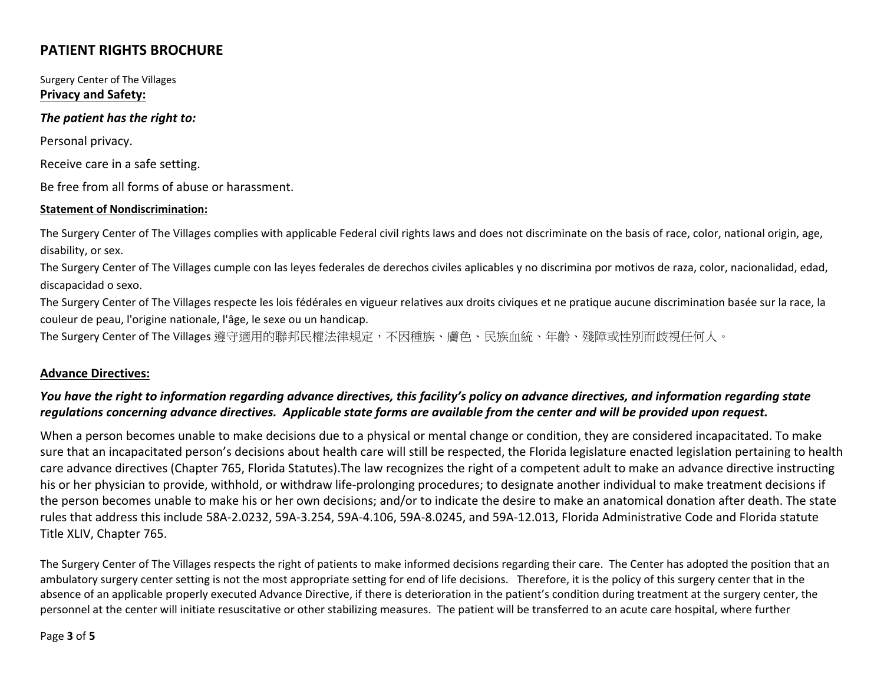Surgery Center of The Villages **Privacy and Safety:**

#### *The patient has the right to:*

Personal privacy.

Receive care in <sup>a</sup> safe setting.

Be free from all forms of abuse or harassment.

#### **Statement of Nondiscrimination:**

The Surgery Center of The Villages complies with applicable Federal civil rights laws and does not discriminate on the basis of race, color, national origin, age, disability, or sex.

The Surgery Center of The Villages cumple con las leyes federales de derechos civiles aplicables y no discrimina por motivos de raza, color, nacionalidad, edad, discapacidad <sup>o</sup> sexo.

The Surgery Center of The Villages respecte les lois fédérales en vigueur relatives aux droits civiques et ne pratique aucune discrimination basée sur la race, la couleur de peau, l'origine nationale, l'âge, le sexe ou un handicap.

The Surgery Center of The Villages 遵守適用的聯邦民權法律規定,不因種族、膚色、民族血統、年齡、殘障或性別而歧視任何人。

#### **Advance Directives:**

### You have the right to information regarding advance directives, this facility's policy on advance directives, and information regarding state regulations concerning advance directives. Applicable state forms are available from the center and will be provided upon request.

When <sup>a</sup> person becomes unable to make decisions due to <sup>a</sup> physical or mental change or condition, they are considered incapacitated. To make sure that an incapacitated person's decisions about health care will still be respected, the Florida legislature enacted legislation pertaining to health care advance directives (Chapter 765, Florida Statutes).The law recognizes the right of <sup>a</sup> competent adult to make an advance directive instructing his or her physician to provide, withhold, or withdraw life‐prolonging procedures; to designate another individual to make treatment decisions if the person becomes unable to make his or her own decisions; and/or to indicate the desire to make an anatomical donation after death. The state rules that address this include 58A‐2.0232, 59A‐3.254, 59A‐4.106, 59A‐8.0245, and 59A‐12.013, Florida Administrative Code and Florida statute Title XLIV, Chapter 765.

The Surgery Center of The Villages respects the right of patients to make informed decisions regarding their care. The Center has adopted the position that an ambulatory surgery center setting is not the most appropriate setting for end of life decisions. Therefore, it is the policy of this surgery center that in the absence of an applicable properly executed Advance Directive, if there is deterioration in the patient's condition during treatment at the surgery center, the personnel at the center will initiate resuscitative or other stabilizing measures. The patient will be transferred to an acute care hospital, where further

#### Page **3** of **5**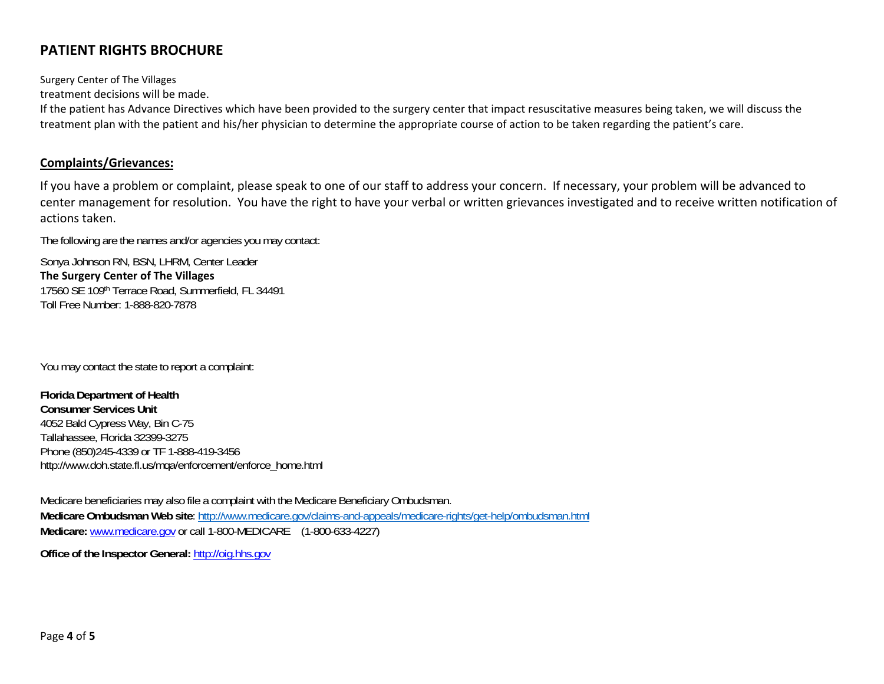Surgery Center of The Villages

treatment decisions will be made.

If the patient has Advance Directives which have been provided to the surgery center that impact resuscitative measures being taken, we will discuss the treatment plan with the patient and his/her physician to determine the appropriate course of action to be taken regarding the patient's care.

#### **Complaints/Grievances:**

If you have <sup>a</sup> problem or complaint, please speak to one of our staff to address your concern. If necessary, your problem will be advanced to center management for resolution. You have the right to have your verbal or written grievances investigated and to receive written notification of actions taken.

The following are the names and/or agencies you may contact:

Sonya Johnson RN, BSN, LHRM, Center Leader **The Surgery Center of The Villages** 17560 SE 109th Terrace Road, Summerfield, FL 34491 Toll Free Number: 1-888-820-7878

You may contact the state to report a complaint:

**Florida Department of Health Consumer Services Unit** 4052 Bald Cypress Way, Bin C-75 Tallahassee, Florida 32399-3275 Phone (850)245-4339 or TF 1-888-419-3456 http://www.doh.state.fl.us/mqa/enforcement/enforce\_home.html

Medicare beneficiaries may also file a complaint with the Medicare Beneficiary Ombudsman. **Medicare Ombudsman Web site**: http://www.medicare.gov/claims-and-appeals/medicare-rights/get-help/ombudsman.html **Medicare:** www.medicare.gov or call 1-800-MEDICARE (1-800-633-4227)

**Office of the Inspector General:** http://oig.hhs.gov